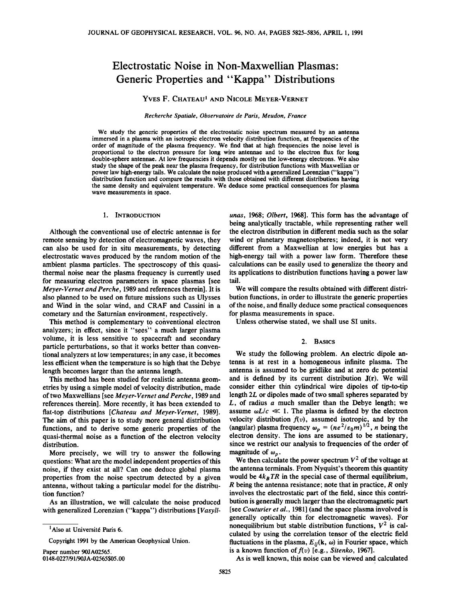# **Electrostatic Noise in Non-Maxwellian Plasmas' Generic Properties and "Kappa" Distributions**

# **YVES F. CHATEAU 1 AND NICOLE MEYER-VERNET**

## **Recherche Spatiale, Observatoire de Paris, Meudon, France**

**We study the generic properties of the electrostatic noise spectrum measured by an antenna immersed in a plasma with an isotropic electron velocity distribution function, at frequencies of the order of magnitude of the plasma frequency. We find that at high frequencies the noise level is proportional to the electron pressure for long wire antennae and to the electron flux for long double-sphere antennae. At low frequencies it depends mostly on the low-energy electrons. We also study the shape of the peak near the plasma frequency, for distribution functions with Maxwellian or power law high-energy tails. We calculate the noise produced with a generalized Lorenzian ("kappa") distribution function and compare the results with those obtained with different distributions having the same density and equivalent temperature. We deduce some practical consequences for plasma wave measurements in space.** 

## **1. INTRODUCTION**

**Although the conventional use of electric antennae is for remote sensing by detection of electromagnetic waves, they can also be used for in situ measurements, by detecting electrostatic waves produced by the random motion of the ambient plasma particles. The spectroscopy of this quasithermal noise near the plasma frequency is currently used for measuring electron parameters in space plasmas [see Meyer-Vernet and Perche, 1989 and references therein]. It is also planned to be used on future missions such as Ulysses and Wind in the solar wind, and CRAF and Cassini in a cometary and the Saturnian environment, respectively.** 

This method is complementary to conventional electron **analyzers; in effect, since it "sees"• a much larger plasma volume, it is less sensitive to spacecraft and secondary particle perturbations, so that it works better than conven**tional analyzers at low temperatures; in any case, it becomes **less efficient when the temperature is so high that the Debye length becomes larger than the antenna length.** 

**This method has been studied for realistic antenna geometries by using a simple model of velocity distribution, made of two Maxwellians [see Meyer-Vernet and Perche, 1989 and references therein]. More recently, it has been extended to**  flat-top distributions [Chateau and Meyer-Vernet, 1989]. **The aim of this paper is to study more general distribution functions, and to derive some generic properties of the quasi-thermal noise as a function of the electron velocity distribution.** 

**More precisely, we will try to answer the following**  questions: What are the model independent properties of this **noise, if they exist at all? Can one deduce global plasma properties from the noise spectrum detected by a given antenna, without taking a particular model for the distribution function?** 

**As an illustration, we will calculate the noise produced with generalized Lorenzian ("kappa") distributions [Vasyli-**

**Copyright 1991 by the American Geophysical Union.** 

**Paper number 90JA02565. 0148-0227/91/90J A-02565505.00** 

**unas, 1968; Olbert, 1968]. This form has the advantage of being analytically tractable, while representing rather well ß the electron distribution in different media such as the solar wind or planetary magnetospheres; indeed, it is not very different from a Maxwellian at low energies but has a high-energy tail with a power law form. Therefore these calculations can be easily used to generalize the theory and its applications to distribution functions having a power law tail.** 

**We will compare the results obtained with different distribution functions, in order to illustrate the generic properties of the noise, and finally deduce some practical consequences**  for plasma measurements in space.

**Unless otherwise stated, we shall use SI units.** 

#### **2. BAsics**

**We study the following problem. An electric dipole antenna is at rest in a homogeneous infinite plasma. The antenna is assumed to be gridlike and at zero dc potential and is defined by its current distribution J(r). We will**  consider either thin cylindrical wire dipoles of tip-to-tip **length 2L or dipoles made of two small spheres separated by L, of radius a much smaller than the Debye length; we**  assume  $\omega L/c \ll 1$ . The plasma is defined by the electron **velocity distribution f(v), assumed isotropic, and by the**  (angular) plasma frequency  $\omega_p = (ne^2/\varepsilon_0 m)^{1/2}$ , *n* being the **electron density. The ions are assumed to be stationary, since we restrict our analysis to frequencies of the order of**  magnitude of  $\omega_p$ .

We then calculate the power spectrum  $V^2$  of the voltage at the antenna terminals. From Nyquist's theorem this quantity would be  $4k_B TR$  in the special case of thermal equilibrium, **R being the antenna resistance; note that in practice, R only involves the electrostatic part of the field, since this contribution is generally much larger than the electromagnetic part**  [see Couturier et al., 1981] (and the space plasma involved is **generally optically thin for electromagnetic waves). For**  nonequilibrium but stable distribution functions,  $V^2$  is cal**culated by using the correlation tensor of the electric field**  fluctuations in the plasma,  $E_{ij}(\mathbf{k}, \omega)$  in Fourier space, which is a known function of  $f(v)$  [e.g., *Sitenko*, 1967].

**As is well known, this noise can be viewed and calculated** 

<sup>&</sup>lt;sup>1</sup>Also at Université Paris 6.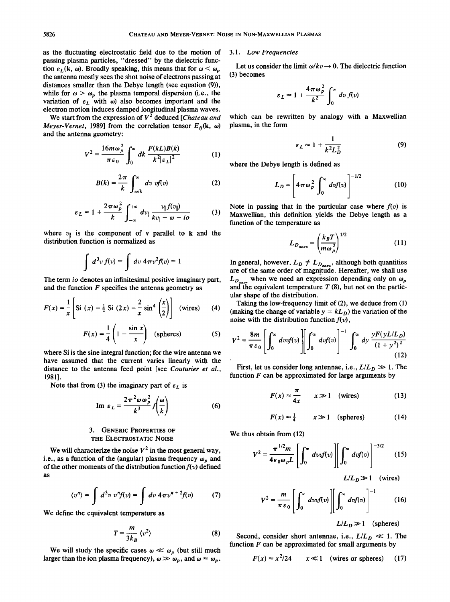**as the fluctuating electrostatic field due to the motion of passing plasma particles, "dressed" by the dielectric func**tion  $\varepsilon_L (\mathbf{k}, \omega)$ . Broadly speaking, this means that for  $\omega < \omega_n$ **the antenna mostly sees the shot noise of electrons passing at distances smaller than the Debye length (see equation (9)),**  while for  $\omega > \omega_p$  the plasma temporal dispersion (i.e., the variation of  $\varepsilon_L$  with  $\omega$ ) also becomes important and the **electron motion induces damped longitudinal plasma waves.** 

We start from the expression of  $V^2$  deduced [Chateau and *Meyer-Vernet*, 1989] from the correlation tensor  $E_{ii}(\mathbf{k}, \omega)$ **and the antenna geometry:** 

$$
V^{2} = \frac{16m\omega_{p}^{2}}{\pi\epsilon_{0}} \int_{0}^{\infty} dk \frac{F(kL)B(k)}{k^{2}|\epsilon_{L}|^{2}}
$$
 (1) where

$$
B(k) = \frac{2\pi}{k} \int_{\omega/k}^{\infty} dv \; v f(v) \tag{2}
$$

$$
\varepsilon_L = 1 + \frac{2\pi\omega_p^2}{k} \int_{-\infty}^{+\infty} dv_{\parallel} \frac{v_{\parallel} f(v_{\parallel})}{kv_{\parallel} - \omega - i\sigma}
$$
 No  
100  
Ma

where  $v_{\parallel}$  is the component of **v** parallel to **k** and the **distribution function is normalized as** 

$$
\int d^3v f(v) = \int dv 4\pi v^2 f(v) = 1
$$

**The term io denotes an infinitesimal positive imaginary part, and the function F specifies the antenna geometry as** 

$$
F(x) = \frac{1}{x} \left[ Si(x) - \frac{1}{2} Si(2x) - \frac{2}{x} sin^4\left(\frac{x}{2}\right) \right] (wires)
$$
 (4)

$$
F(x) = \frac{1}{4} \left( 1 - \frac{\sin x}{x} \right) \quad \text{(spheres)} \tag{5}
$$

**where Si is the sine integral function; for the wire antenna we have assumed that the current varies linearly with the distance to the antenna feed point [see Couturier et al., 1981].** 

Note that from (3) the imaginary part of  $\varepsilon_L$  is

Im 
$$
\varepsilon_L = \frac{2\pi^2 \omega \omega_p^2}{k^3} f\left(\frac{\omega}{k}\right)
$$
 (6)

# **3. GENERIC PROPERTIES OF THE ELECTROSTATIC NOISE**

We will characterize the noise  $V^2$  in the most general way, i.e., as a function of the (angular) plasma frequency  $\omega_p$  and of the other moments of the distribution function  $f(v)$  defined **as** 

$$
\langle v^n \rangle = \int d^3v \; v^n f(v) = \int dv \; 4 \pi v^{n+2} f(v) \qquad (7)
$$

**We define the equivalent temperature as** 

$$
T = \frac{m}{3k_B} \langle v^2 \rangle \tag{8}
$$

We will study the specific cases  $\omega \ll \omega_p$  (but still much larger than the ion plasma frequency),  $\omega \gg \omega_p$ , and  $\omega \approx \omega_p$ .

#### **3.1. Low Frequencies**

Let us consider the limit  $\omega/kv \rightarrow 0$ . The dielectric function **(3) becomes** 

$$
\varepsilon_L \approx 1 + \frac{4\pi\omega_p^2}{k^2} \int_0^\infty dv f(v)
$$

**which can be rewritten by analogy with a Maxwellian plasma, in the form** 

$$
\varepsilon_L \approx 1 + \frac{1}{k^2 L_D^2} \tag{9}
$$

**where the Debye length is defined as** 

$$
L_D = \left[4\pi\omega_p^2 \int_0^\infty dv f(v)\right]^{-1/2} \tag{10}
$$

Note in passing that in the particular case where  $f(v)$  is **Maxwellian, this definition yields the Debye length as a function of the temperature as** 

$$
L_{D_{\text{maxw}}} = \left(\frac{k_B T}{m \omega_p^2}\right)^{1/2} \tag{11}
$$

In general, however,  $L_D \neq L_{D_{\text{max}}}$ , although both quantities **are of the same order of magnitude. Hereafter, we shall use**   $L_{D_{\text{max}}}$  when we need an expression depending only on  $\omega_p$ **and the equivalent temperature T (8), but not on the particular shape of the distribution.** 

**Taking the low-frequency limit of (2), we deduce from (1)**  (making the change of variable  $y = kL_D$ ) the variation of the noise with the distribution function  $f(v)$ ,

$$
V^{2} = \frac{8m}{\pi \epsilon_{0}} \left[ \int_{0}^{\infty} dv v f(v) \right] \left[ \int_{0}^{\infty} dv f(v) \right]^{-1} \int_{0}^{\infty} dy \frac{y F(y L/L_{D})}{(1 + y^{2})^{2}} \tag{12}
$$

First, let us consider long antennae, i.e.,  $L/L_D \gg 1$ . The **function F can be approximated for large arguments by** 

$$
F(x) \approx \frac{\pi}{4x} \qquad x \gg 1 \quad \text{(wires)} \tag{13}
$$

$$
F(x) \approx \frac{1}{4} \qquad x \gg 1 \quad \text{(spheres)} \tag{14}
$$

**We thus obtain from (12)** 

$$
V^2 = \frac{\pi^{1/2}m}{4\epsilon_0 \omega_p L} \left[ \int_0^\infty dv v f(v) \right] \left[ \int_0^\infty dv f(v) \right]^{-3/2} \qquad (15)
$$

$$
L/L_D \gg 1 \quad \text{(wires)}
$$

$$
V^2 = \frac{m}{\pi \varepsilon_0} \left[ \int_0^\infty dv v f(v) \right] \left[ \int_0^\infty dv f(v) \right]^{-1} \tag{16}
$$

 $L/L_p \gg 1$  (spheres)

Second, consider short antennae, i.e.,  $L/L_D \ll 1$ . The **function F can be approximated for small arguments by** 

$$
F(x) \approx x^2/24
$$
  $x \ll 1$  (wires or spheres) (17)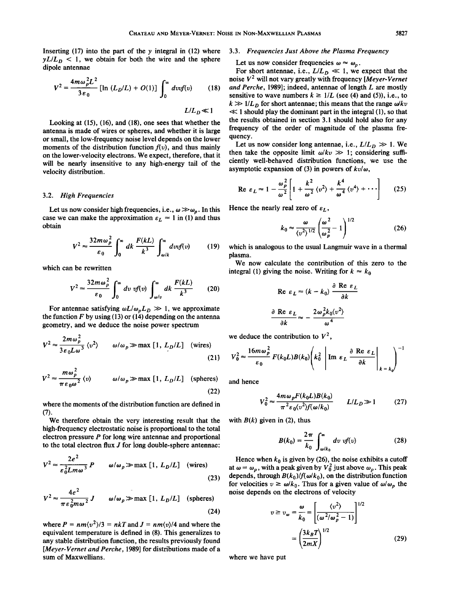**Inserting (17) into the part of the y integral in (12) where**   $yL/L_D$  < 1, we obtain for both the wire and the sphere **dipole antennae** 

$$
V^{2} = \frac{4m\omega_{p}^{2}L^{2}}{3\epsilon_{0}} [\ln(L_{D}/L) + O(1)] \int_{0}^{\infty} dvdf(v) \qquad (18) \quad \text{as} \\ k \qquad kL/L_{D} \ll 1 \qquad \ll
$$

**Looking at (15), (16), and (18), one sees that whether the antenna is made of wires or spheres, and whether it is large or small, the low-frequency noise level depends on the lower**  moments of the distribution function  $f(v)$ , and thus mainly **on the lower-velocity electrons. We expect, therefore, that it will be nearly insensitive to any high-energy tail of the velocity distribution.** 

#### **3.2. High Frequencies**

Let us now consider high frequencies, i.e.,  $\omega \gg \omega_p$ . In this case we can make the approximation  $\varepsilon_L \approx 1$  in (1) and thus **obtain** 

$$
V^2 \approx \frac{32m\omega_p^2}{\varepsilon_0} \int_0^\infty dk \, \frac{F(kL)}{k^3} \int_{\omega/k}^\infty dv \, dv \quad (19) \quad \text{whic}
$$
plas

**which can be rewritten** 

$$
V^2 \approx \frac{32m\omega_p^2}{\varepsilon_0} \int_0^\infty dv \; v f(v) \int_{\omega/v}^\infty dk \; \frac{F(kL)}{k^3} \qquad (20)
$$

For antennae satisfying  $\omega L/\omega_p L_p \gg 1$ , we approximate **the function F by using (13) or (14) depending on the antenna geometry, and we deduce the noise power spectrum** 

$$
V^{2} \approx \frac{2m\omega_{p}^{2}}{3\varepsilon_{0}L\omega^{3}} \langle v^{2} \rangle \qquad \omega/\omega_{p} \gg \text{max} [1, L_{D}/L] \quad \text{(wires)}
$$
\n(21) V

$$
V^{2} \approx \frac{m\omega_{p}^{2}}{\pi \epsilon_{0}\omega^{2}} \langle v \rangle \qquad \omega/\omega_{p} \gg \text{max} [1, L_{D}/L] \quad \text{(spheres)} \quad \text{and}
$$

**where the moments of the distribution function are defined in (7).** 

**We therefore obtain the very interesting result that the high-frequency electrostatic noise is proportional to the total electron pressure P for long wire antennae and proportional to the total electron flux J for 10ng double-sphere antennae:** 

$$
V^{2} \approx \frac{2e^{2}}{\varepsilon_{0}^{2}Lm\omega^{3}} P \qquad \omega/\omega_{p} \gg \max [1, L_{D}/L] \quad \text{(wires)}
$$
\n(23)

$$
V^{2} \approx \frac{4e^{2}}{\pi \varepsilon_{0}^{2} m \omega^{2}} J \qquad \omega/\omega_{p} \gg \text{max} [1, L_{D}/L] \quad \text{(spheres)}
$$
\n(24)

where  $P = nm(v^2)/3 = nkT$  and  $J = nm(v)/4$  and where the **equivalent temperature is defined in (8). This generalizes to any stable distribution function, the results previously found [Meyer-Vernet and Perche, 1989] for distributions made of a sum of Maxwellians.** 

# **3.3. Frequencies Just Above the Plasma Frequency**

Let us now consider frequencies  $\omega \approx \omega_n$ .

For short antennae, i.e.,  $L/L_D \ll 1$ , we expect that the noise  $V^2$  will not vary greatly with frequency [*Meyer-Vernet* **and Perche, 1989]; indeed, antennae of length L are mostly**  sensitive to wave numbers  $k \ge 1/L$  (see (4) and (5)), i.e., to  $k \gg 1/L_D$  for short antennae; this means that the range  $\omega / kv$ **<< 1 should play the dominant part in the integral (1), so that the results obtained in section 3.1 should hold also for any frequency of the order of magnitude of the plasma frequency.** 

Let us now consider long antennae, i.e.,  $L/L_D \gg 1$ . We then take the opposite limit  $\omega / kv \gg 1$ ; considering suffi**ciently well-behaved distribution functions, we use the**  asymptotic expansion of (3) in powers of  $kv/\omega$ ,

$$
\text{Re } \varepsilon_L \approx 1 - \frac{\omega_p^2}{\omega^2} \left[ 1 + \frac{k^2}{\omega^2} \left\langle v^2 \right\rangle + \frac{k^4}{\omega^4} \left\langle v^4 \right\rangle + \cdots \right] \tag{25}
$$

Hence the nearly real zero of  $\varepsilon_L$ ,

$$
k_0 \approx \frac{\omega}{\langle v^2 \rangle^{1/2}} \left( \frac{\omega^2}{\omega_p^2} - 1 \right)^{1/2} \tag{26}
$$

**which is analogous to the usual Langmuir wave in a thermal plasma.** 

**We now calculate the contribution of this zero to the**  integral (1) giving the noise. Writing for  $k \approx k_0$ 

$$
\operatorname{Re} \varepsilon_L \approx (k - k_0) \frac{\partial \operatorname{Re} \varepsilon_L}{\partial k}
$$

$$
\frac{\partial \operatorname{Re} \varepsilon_L}{\partial k} \approx -\frac{2\omega_p^2 k_0 \langle v^2 \rangle}{\omega^4}
$$

we deduce the contribution to  $V^2$ ,

$$
V_0^2 \approx \frac{16m\omega_p^2}{\varepsilon_0} F(k_0 L)B(k_0) \left(k_0^2 \left|\text{Im } \varepsilon_L \frac{\partial \text{Re } \varepsilon_L}{\partial k}\right|_{k=k_0}\right)^{-1}
$$

**and hence** 

$$
V_0^2 \approx \frac{4m\omega_p F(k_0 L)B(k_0)}{\pi^2 \epsilon_0 \langle v^2 \rangle f(\omega/k_0)} \qquad L/L_D \gg 1 \tag{27}
$$

with  $B(k)$  given in (2), thus

$$
B(k_0) = \frac{2\pi}{k_0} \int_{\omega/k_0}^{\infty} dv \text{ of } (v)
$$
 (28)

Hence when  $k_0$  is given by (26), the noise exhibits a cutoff at  $\omega = \omega_p$ , with a peak given by  $V_0^2$  just above  $\omega_p$ . This peak depends, through  $B(k_0)/f(\omega/k_0)$ , on the distribution function for velocities  $v \ge \omega/k_0$ . Thus for a given value of  $\omega/\omega_p$  the **noise depends on the electrons of velocity** 

$$
v \ge v_{\omega} = \frac{\omega}{k_0} = \left[ \frac{\langle v^2 \rangle}{(\omega^2/\omega_p^2 - 1)} \right]^{1/2}
$$

$$
= \left( \frac{3k_B T}{2mX} \right)^{1/2} \tag{29}
$$

**where we have put**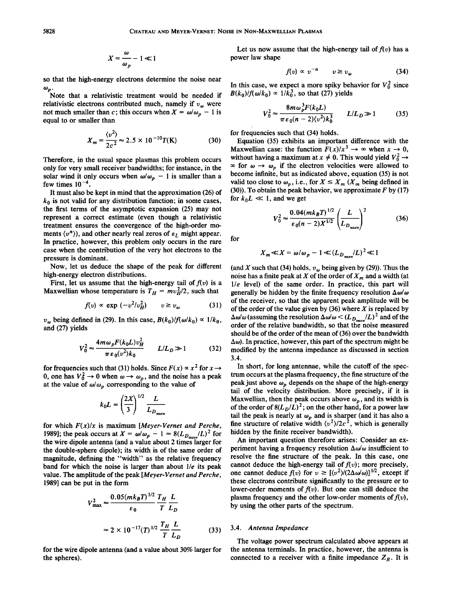$$
X=\frac{\omega}{\omega_p}-1\ll 1
$$

**so that the high-energy electrons determine the noise near**   $\omega_p$ .

**Note that a relativistic treatment would be needed if**  relativistic electrons contributed much, namely if  $v_{\omega}$  were not much smaller than c; this occurs when  $X = \omega/\omega_p - 1$  is **equal to or smaller than** 

$$
X_m = \frac{\langle v^2 \rangle}{2c^2} \approx 2.5 \times 10^{-10} T(\text{K})
$$
 (30)

**Therefore, in the usual space plasmas this problem occurs**  only for very small receiver bandwidths; for instance, in the **solar wind it only occurs when**  $\omega/\omega_p - 1$  **is smaller than a** few times  $10^{-4}$ .

**It must also be kept in mind that the approximation (26) of**   $k_0$  is not valid for any distribution function; in some cases, **the first terms of the asymptotic expansion (25) may not represent a correct estimate (even though a relativistic treatment ensures the convergence of the high-order mo**ments  $\langle v^n \rangle$ , and other nearly real zeros of  $\varepsilon_L$  might appear. **In practice, however, this problem only occurs in the rare case when the contribution of the very hot electrons to the pressure is dominant.** 

**Now, let us deduce the shape of the peak for different high-energy electron distributions.** 

First, let us assume that the high-energy tail of  $f(v)$  is a **Maxwellian whose temperature is**  $T_H = mv_H^2/2$ **, such that** 

$$
f(v) \propto \exp\left(-v^2/v_H^2\right) \qquad v \ge v_\omega \tag{31}
$$

 $v_{\omega}$  being defined in (29). In this case,  $B(k_0)/f(\omega/k_0) \propto 1/k_0$ , **and (27) yields** 

$$
V_0^2 \approx \frac{4m\omega_p F(k_0 L)v_H^2}{\pi \epsilon_0 \langle v^2 \rangle k_0} \qquad L/L_D \gg 1 \tag{32}
$$

for frequencies such that (31) holds. Since  $F(x) \propto x^2$  for  $x \to$ 0, one has  $V_0^2 \rightarrow 0$  when  $\omega \rightarrow \omega_p$ , and the noise has a peak at the value of  $\omega/\omega_p$  corresponding to the value of

$$
k_0 L = \left(\frac{2X}{3}\right)^{1/2} \frac{L}{L_{D_{\text{maxw}}}}
$$

**for which F(x)/x is maximum [Meyer-Vernet and Perche, 1989]; the peak occurs at**  $X = \omega/\omega_p - 1 \approx 8(L_{D_{\text{max}}}/L)^2$  **for the wire dipole antenna (and a value about 2 times larger for the double-sphere dipole); its width is of the same order of magnitude, defining the "width" as the relative frequency band for which the noise is larger than about 1/e its peak value. The amplitude of the peak [Meyer-Vernet and Perche, 1989] can be put in the form** 

$$
V_{\text{max}}^2 \approx \frac{0.05(mk_B T)^{1/2}}{\varepsilon_0} \frac{T_H}{T} \frac{L}{L_D}
$$
  

$$
\approx 2 \times 10^{-17} (T)^{1/2} \frac{T_H}{T} \frac{L}{L_D}
$$
 (33)

**for the wire dipole antenna (and a value about 30% larger for the spheres).** 

Let us now assume that the high-energy tail of  $f(v)$  has a **power law shape** 

$$
f(v) \propto v^{-n} \qquad v \ge v_{\omega} \tag{34}
$$

In this case, we expect a more spiky behavior for  $V_0^2$  since  $B(k_0)/f(\omega/k_0) \propto 1/k_0^3$ , so that (27) yields

$$
V_0^2 \approx \frac{8m\omega_p^3 F(k_0 L)}{\pi \varepsilon_0 (n-2) \langle v^2 \rangle k_0^3} \qquad L/L_D \gg 1 \tag{35}
$$

**for frequencies such that (34) holds.** 

**Equation (35) exhibits an important difference with the Maxwellian case: the function**  $F(x)/x^3 \rightarrow \infty$  **when**  $x \rightarrow 0$ **,** without having a maximum at  $x \neq 0$ . This would yield  $V_0^2 \rightarrow$  $\infty$  for  $\omega \to \omega$ <sub>p</sub> if the electron velocities were allowed to **become infinite, but as indicated above, equation (35) is not**  valid too close to  $\omega_n$ , i.e., for  $X \leq X_m$  ( $X_m$  being defined in **(30)). To obtain the peak behavior, we approximate F by (17)**  for  $k_0 L \ll 1$ , and we get

$$
V_0^2 \approx \frac{0.04(mk_B T)^{1/2}}{\varepsilon_0 (n-2)X^{1/2}} \left(\frac{L}{L_{D_{\text{maxw}}}}\right)^2 \tag{36}
$$

**for** 

$$
X_m \ll X = \omega/\omega_p - 1 \ll (L_{D_{\text{max}}} / L)^2 \ll 1
$$

(and X such that (34) holds,  $v_{\omega}$  being given by (29)). Thus the noise has a finite peak at  $X$  of the order of  $X_m$  and a width (at **1/e level) of the same order. In practice, this part will generally be hidden by the finite frequency resolution**  $\Delta \omega/\omega$ **of the receiver, so that the apparent peak amplitude will be of the order of the value given by (36) where X is replaced by**   $\Delta \omega / \omega$  (assuming the resolution  $\Delta \omega / \omega < (L_{D_{\text{max}}}/L)^2$  and of the **order of the relative bandwidth, so that the noise measured should be of the order of the mean of (36) over the bandwidth**   $\Delta\omega$ ). In practice, however, this part of the spectrum might be **modified by the antenna impedance as discussed in section 3.4.** 

**In short, for long antennae, while the cutoff of the spectrum occurs at the plasma frequency, the fine structure of the peak just above**  $\omega_p$  **depends on the shape of the high-energy tail of the velocity distribution. More precisely, if it is**  Maxwellian, then the peak occurs above  $\omega_p$ , and its width is of the order of  $8(L_D/L)^2$ ; on the other hand, for a power law tail the peak is nearly at  $\omega_p$  and is sharper (and it has also a fine structure of relative width  $\langle v^2 \rangle / 2c^2$ , which is generally **hidden by the finite receiver bandwidth).** 

**An important question therefore arises: Consider an experiment having a frequency resolution**  $\Delta \omega/\omega$  **insufficient to resolve the fine structure of the peak. In this case, one**  cannot deduce the high-energy tail of  $f(v)$ ; more precisely, one cannot deduce  $f(v)$  for  $v \geq \left[\frac{\langle v^2 \rangle}{(2\Delta \omega/\omega)}\right]^{1/2}$ , except if **these electrons contribute significantly to the pressure or to**  lower-order moments of  $f(v)$ . But one can still deduce the plasma frequency and the other low-order moments of  $f(v)$ , **by using the other parts of the spectrum.** 

#### **3.4. Antenna Impedance**

**The voltage power spectrum calculated above appears at the antenna terminals. In practice, however, the antenna is**  connected to a receiver with a finite impedance  $Z_R$ . It is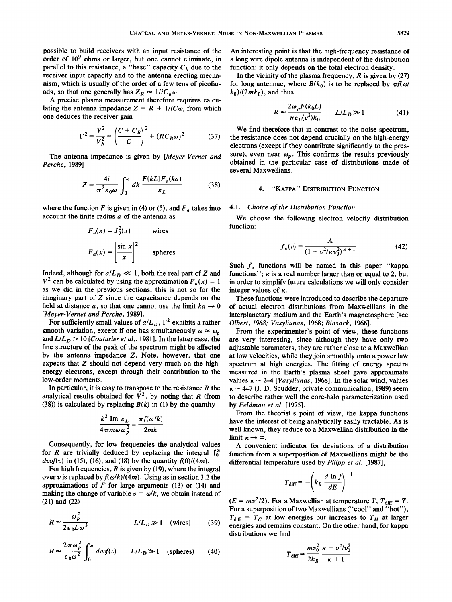**possible to build receivers with an input resistance of the order of 109 ohms or larger, but one cannot eliminate, in**  parallel to this resistance, a "base" capacity  $C_b$  due to the **receiver input capacity and to the antenna erecting mechanism, which is usually of the order of a few tens of picofar**ads, so that one generally has  $Z_R \approx 1/iC_b\omega$ .

**A precise plasma measurement therefore requires calcu**lating the antenna impedance  $Z = R + 1/iC\omega$ , from which **one deduces the receiver gain** 

$$
\Gamma^{2} = \frac{V^{2}}{V_{R}^{2}} = \left(\frac{C + C_{B}}{C}\right)^{2} + (RC_{B}\omega)^{2}
$$
 (37)

**The antenna impedance is given by [Meyer-Vernet and Perche, 1989]** 

$$
Z = \frac{4i}{\pi^2 \varepsilon_0 \omega} \int_0^\infty dk \, \frac{F(kL)F_a(ka)}{\varepsilon_L} \tag{38}
$$

where the function F is given in (4) or (5), and  $F_a$  takes into **account the finite radius a of the antenna as** 

$$
F_a(x) = J_0^2(x)
$$
 wires  

$$
F_a(x) = \left[\frac{\sin x}{x}\right]^2
$$
 spheres  
Suc

Indeed, although for  $a/L_p \ll 1$ , both the real part of Z and  $V^2$  can be calculated by using the approximation  $F_a(x) = 1$ **as we did in the previous sections, this is not so for the imaginary part of Z since the capacitance depends on the**  field at distance a, so that one cannot use the limit  $ka \rightarrow 0$ **[Meyer-Vernet and Perche, 1989].** 

For sufficiently small values of  $a/L_D$ ,  $\Gamma^2$  exhibits a rather smooth variation, except if one has simultaneously  $\omega \approx \omega_p$ and  $L/L_p > 10$  [Couturier et al., 1981]. In the latter case, the **fine structure of the peak of the spectrum might be affected by the antenna impedance Z. Note, however, that one expects that Z should not depend very much on the highenergy electrons, except through their contribution to the low-order moments.** 

**In particular, it is easy to transpose to the resistance R the**  analytical results obtained for  $V^2$ , by noting that R (from **(38)) is calculated by replacing B(k) in (1) by the quantity** 

$$
\frac{k^2 \text{Im } \varepsilon_L}{4 \pi m \omega \omega_p^2} = \frac{\pi f(\omega/k)}{2mk}
$$

**Consequently, for low frequencies the analytical values**  for R are trivially deduced by replacing the integral  $\int_0^\infty$  $d\text{vol}(v)$  in (15), (16), and (18) by the quantity  $f(0)/(4m)$ .

**For high frequencies, R is given by (19), where the integral**  over v is replaced by  $f(\omega/k)/(4m)$ . Using as in section 3.2 the **approximations of F for large arguments (13) or (14) and**  making the change of variable  $v = \omega/k$ , we obtain instead of **(21) and (22)** 

$$
R \approx \frac{\omega_p^2}{2\varepsilon_0 L \omega^3}
$$
  $L/L_D \gg 1$  (wires) (39)  $\frac{1}{e}$ 

$$
R \approx \frac{2\pi\omega_p^2}{\varepsilon_0\omega^2} \int_0^\infty dv v f(v) \qquad L/L_D \gg 1 \quad \text{(spheres)} \tag{40}
$$

**An interesting point is that the high-frequency resistance of a long wire dipole antenna is independent of the distribution function: it only depends on the total electron density.** 

**In the vicinity of the plasma frequency, R is given by (27)**  for long antennae, where  $B(k_0)$  is to be replaced by  $\pi f(\omega)$  $k_0$ )/(2*mk*<sub>0</sub>), and thus

$$
R \approx \frac{2\omega_p F(k_0 L)}{\pi \varepsilon_0 \langle v^2 \rangle k_0} \qquad L/L_D \gg 1 \tag{41}
$$

**We find therefore that in contrast to the noise spectrum, the resistance does not depend crucially on the high-energy electrons (except if they contribute significantly to the pres**sure), even near  $\omega_p$ . This confirms the results previously **obtained in the particular case of distributions made of several Maxwellians.** 

# **4. "KAPPA" DISTRIBUTION FUNCTION**

# **4.1. Choice of the Distribution Function**

**We choose the following electron velocity distribution function:** 

$$
f_{\kappa}(v) = \frac{A}{(1 + v^2/\kappa v_0^2)^{\kappa + 1}}
$$
 (42)

Such  $f_{\kappa}$  functions will be named in this paper "kappa" functions";  $\kappa$  is a real number larger than or equal to 2, but **in order to simplify future calculations we will only consider integer values of** 

**These functions were introduced to describe the departure of actual electron distributions from Maxwellians in the interplanetary medium and the Earth's magnetosphere [see Olbert, 1968; Vasyliunas, 1968; Binsack, 1966].** 

**From the experimenter's point of view, these functions are very interesting, since although they have only two**  adjustable parameters, they are rather close to a Maxwellian **at low velocities, while they join smoothly onto a power law spectrum at high energies. The fitting of energy spectra measured in the Earth's plasma sheet gave approximate**  values  $\kappa \sim 2-4$  [*Vasyliunas*, 1968]. In the solar wind, values  $\kappa \sim 4$ -7 (J. D. Scudder, private communication, 1989) seem **to describe rather well the core-halo parameterization used by Feldman et al. [1975].** 

**From the theorist's point of view, the kappa functions have the interest of being analytically easily tractable. As is**  well known, they reduce to a Maxwellian distribution in the limit  $\kappa \rightarrow \infty$ .

**A convenient indicator for deviations of a distribution function from a superposition of Maxwellians might be the differential temperature used by Pilipp et al. [1987],** 

$$
T_{\text{diff}} = -\left(k_B \frac{d \ln f}{dE}\right)^{-1}
$$

 $(E = mv^2/2)$ . For a Maxwellian at temperature T,  $T_{\text{diff}} = T$ . **For a superposition of two Maxwellians ("cool" and "hot"),**   $T_{\text{diff}} = T_C$  at low energies but increases to  $T_H$  at larger **energies and remains constant. On the other hand, for kappa distributions we find** 

$$
T_{\text{diff}} = \frac{mv_0^2}{2k_B} \frac{\kappa + v^2/v_0^2}{\kappa + 1}
$$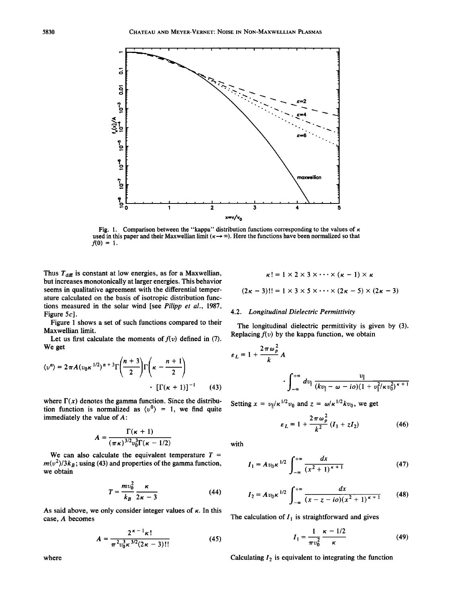

Fig. 1. Comparison between the "kappa" distribution functions corresponding to the values of  $\kappa$ used in this paper and their Maxwellian limit  $(\kappa \rightarrow \infty)$ . Here the functions have been normalized so that  $f(0) = 1$ .

Thus  $T_{\text{diff}}$  is constant at low energies, as for a Maxwellian, **but increases monotonically at larger energies. This behavior seems in qualitative agreement with the differential temperature calculated on the basis of isotropic distribution functions measured in the solar wind [see Pilipp et al., 1987,**  Figure 5c].

**Figure 1 shows a set of such functions compared to their Maxwellian limit.** 

Let us first calculate the moments of  $f(v)$  defined in (7). **We get** 

$$
\langle v^n \rangle = 2 \pi A (v_0 \kappa^{1/2})^{n+3} \Gamma \left( \frac{n+3}{2} \right) \Gamma \left( \kappa - \frac{n+1}{2} \right)
$$

$$
\cdot \left[ \Gamma(\kappa + 1) \right]^{-1} \qquad (43)
$$

where  $\Gamma(x)$  denotes the gamma function. Since the distribution function is normalized as  $\langle v^0 \rangle = 1$ , we find quite **immediately the value of A:** 

$$
A = \frac{\Gamma(\kappa + 1)}{(\pi \kappa)^{3/2} v_0^3 \Gamma(\kappa - 1/2)}
$$

We can also calculate the equivalent temperature  $T =$  $m\langle v^2 \rangle/3k_B$ ; using (43) and properties of the gamma function, **we obtain** 

$$
T = \frac{mv_0^2}{k_B} \frac{\kappa}{2\kappa - 3}
$$
 (44)

As said above, we only consider integer values of  $\kappa$ . In this **case, A becomes** 

$$
A = \frac{2^{\kappa - 1} \kappa!}{\pi^2 v_0^3 \kappa^{3/2} (2\kappa - 3)!!}
$$
 (45)

$$
\kappa! = 1 \times 2 \times 3 \times \cdots \times (\kappa - 1) \times \kappa
$$
  
(2\kappa - 3)!! = 1 \times 3 \times 5 \times \cdots \times (2\kappa - 5) \times (2\kappa - 3)

# **4.2. Longitudinal Dielectric Permittivity**

**The longitudinal dielectric permittivity is given by (3).**  Replacing  $f(v)$  by the kappa function, we obtain

$$
\varepsilon_L = 1 + \frac{2\pi\omega_p^2}{k} A
$$

$$
\int_{-\infty}^{+\infty} dv_{\parallel} \frac{v_{\parallel}}{(kv_{\parallel} - \omega - io)(1 + v_{\parallel}^2/\kappa v_0^2)^{\kappa + 1}}
$$

Setting  $x = v_{\parallel}/\kappa^{1/2}v_0$  and  $z = \omega/\kappa^{1/2}kv_0$ , we get

$$
\varepsilon_L = 1 + \frac{2\pi\omega_\rho^2}{k^2} (I_1 + zI_2)
$$
 (46)

**with** 

$$
I_1 = A v_0 \kappa^{1/2} \int_{-\infty}^{+\infty} \frac{dx}{(x^2 + 1)^{\kappa + 1}}
$$
 (47)

$$
I_2 = Av_0 \kappa^{1/2} \int_{-\infty}^{+\infty} \frac{dx}{(x-z-io)(x^2+1)^{\kappa+1}} \qquad (48)
$$

The calculation of  $I_1$  is straightforward and gives

$$
I_1 = \frac{1}{\pi v_0^2} \frac{\kappa - 1/2}{\kappa} \tag{49}
$$

Calculating  $I_2$  is equivalent to integrating the function

**where**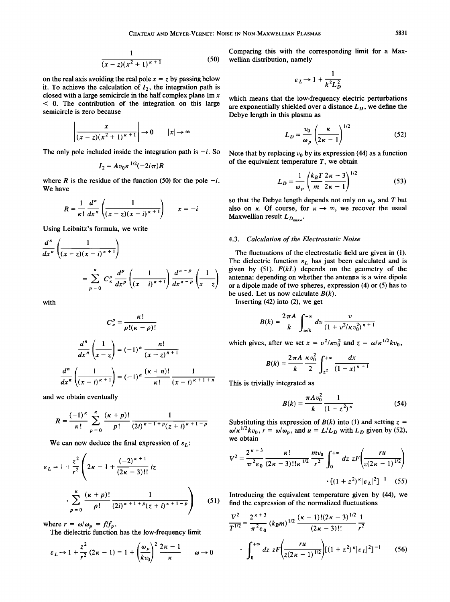$$
\frac{1}{(x-z)(x^2+1)^{\kappa+1}}
$$
 (50)

on the real axis avoiding the real pole  $x = z$  by passing below it. To achieve the calculation of  $I_2$ , the integration path is **closed with a large semicircle in the half complex plane Im x < 0. The contribution of the integration on this large semicircle is zero because** 

$$
\left|\frac{x}{(x-z)(x^2+1)^{k+1}}\right| \to 0 \qquad |x| \to \infty
$$

The only pole included inside the integration path is  $-i$ . So

$$
I_2 = Av_0\kappa^{1/2}(-2i\pi)R
$$

where R is the residue of the function (50) for the pole  $-i$ . **We have** 

$$
R = \frac{1}{\kappa!} \frac{d^{\kappa}}{dx^{\kappa}} \left( \frac{1}{(x-z)(x-i)^{\kappa+1}} \right) \qquad x = -i
$$

**Using Leibnitz's formula, we write** 

$$
\frac{d^{\kappa}}{dx^{\kappa}} \left( \frac{1}{(x-z)(x-i)^{\kappa+1}} \right)
$$
\n
$$
= \sum_{p=0}^{\kappa} C_{\kappa}^{p} \frac{d^{p}}{dx^{p}} \left( \frac{1}{(x-i)^{\kappa+1}} \right) \frac{d^{\kappa-p}}{dx^{\kappa-p}} \left( \frac{1}{x-z} \right)
$$

**with** 

$$
C_{\kappa}^{p} = \frac{\kappa!}{p!(\kappa - p)!}
$$

$$
\frac{d^{n}}{dx^{n}} \left(\frac{1}{x - z}\right) = (-1)^{n} \frac{n!}{(x - z)^{n+1}}
$$

$$
\frac{d^{n}}{dx^{n}} \left(\frac{1}{(x - i)^{\kappa + 1}}\right) = (-1)^{n} \frac{(\kappa + n)!}{\kappa!} \frac{1}{(x - i)^{\kappa + 1 + n}}
$$

**and we obtain eventually** 

$$
R = \frac{(-1)^{\kappa}}{\kappa!} \sum_{p=0}^{\kappa} \frac{(\kappa+p)!}{p!} \frac{1}{(2i)^{\kappa+1+p} (z+i)^{\kappa+1-p}}
$$

We can now deduce the final expression of  $\varepsilon_L$ :

$$
\varepsilon_L = 1 + \frac{z^2}{r^2} \left( 2\kappa - 1 + \frac{(-2)^{\kappa + 1}}{(2\kappa - 3)!!} iz \right)
$$

$$
\cdot \sum_{p=0}^{\kappa} \frac{(\kappa + p)!}{p!} \frac{1}{(2i)^{\kappa + 1 + p} (z + i)^{\kappa + 1 - p}} \right) \tag{51}
$$

where  $r = \omega/\omega_p = f/f_p$ .

**The dielectric function has the low-frequency limit** 

$$
\varepsilon_L \to 1 + \frac{z^2}{r^2} (2\kappa - 1) = 1 + \left(\frac{\omega_p}{kv_0}\right)^2 \frac{2\kappa - 1}{\kappa} \qquad \omega \to 0
$$

**Comparing this with the corresponding limit for a Maxwellian distribution, namely** 

$$
\varepsilon_L \to 1 + \frac{1}{k^2 L_D^2}
$$

**which means that the low-frequency electric perturbations**  are exponentially shielded over a distance  $L<sub>D</sub>$ , we define the **Debye length in this plasma as** 

$$
L_D = \frac{v_0}{\omega_p} \left(\frac{\kappa}{2\kappa - 1}\right)^{1/2} \tag{52}
$$

Note that by replacing  $v_0$  by its expression (44) as a function **of the equivalent temperature T, we obtain** 

$$
L_D = \frac{1}{\omega_p} \left( \frac{k_B T}{m} \frac{2\kappa - 3}{2\kappa - 1} \right)^{1/2}
$$
 (53)

so that the Debye length depends not only on  $\omega_p$  and T but also on  $\kappa$ . Of course, for  $\kappa \to \infty$ , we recover the usual Maxwellian result  $L_{D_{\text{max}}}$ .

# **4.3. Calculation of the Electrostatic Noise**

**The fluctuations of the electrostatic field are given in (1).**  The dielectric function  $\varepsilon_L$  has just been calculated and is **given by (51). F(kL) depends on the geometry of the antenna: depending on whether the antenna is a wire dipole or a dipole made of two spheres, expression (4) or (5) has to**  be used. Let us now calculate  $B(k)$ .

**Inserting (42) into (2), we get** 

$$
B(k) = \frac{2\pi A}{k} \int_{\omega/k}^{+\infty} dv \, \frac{v}{(1 + v^2/\kappa v_0^2)^{\kappa + 1}}
$$

which gives, after we set  $x = v^2/\kappa v_0^2$  and  $z = \omega/\kappa^{1/2} k v_0$ ,

$$
B(k) = \frac{2\pi A}{k} \frac{\kappa v_0^2}{2} \int_{z^2}^{+\infty} \frac{dx}{(1+x)^{\kappa+1}}
$$

**This is trivially integrated as** 

$$
B(k) = \frac{\pi A v_0^2}{k} \frac{1}{(1+z^2)^{\kappa}}
$$
 (54)

Substituting this expression of  $B(k)$  into (1) and setting  $z =$  $\omega/\kappa^{1/2} k v_0$ ,  $r = \omega/\omega_p$ , and  $u = L/L_D$  with  $L_D$  given by (52), **we obtain** 

$$
V^{2} = \frac{2^{\kappa+3}}{\pi^{2}\epsilon_{0}} \frac{\kappa!}{(2\kappa-3)!\kappa^{1/2}} \frac{m v_{0}}{r^{2}} \int_{0}^{+\infty} dz \ z F\left(\frac{r u}{z(2\kappa-1)^{1/2}}\right)
$$

$$
\cdot \left[ (1+z^{2})^{\kappa} |\epsilon_{L}|^{2} \right]^{-1} \quad (55)
$$

**Introducing the equivalent temperature given by (44), we find the expression of the normalized fluctuations** 

$$
\frac{V^2}{T^{1/2}} = \frac{2^{\kappa+3}}{\pi^2 \varepsilon_0} (k_B m)^{1/2} \frac{(\kappa-1)!(2\kappa-3)^{1/2}}{(2\kappa-3)!!} \frac{1}{r^2}
$$
  
. 
$$
\int_0^{+\infty} dz \ z F\bigg(\frac{ru}{z(2\kappa-1)^{1/2}}\bigg) [(1+z^2)^{\kappa}|\varepsilon_L|^2]^{-1} \qquad (56)
$$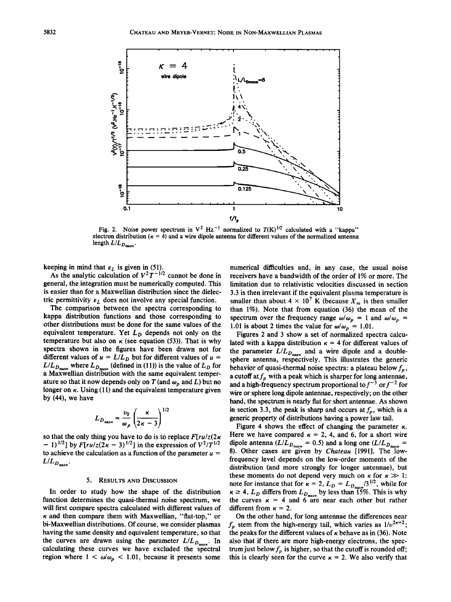

Fig. 2. Noise power spectrum in  $V^2$  Hz<sup>-1</sup> normalized to  $T(K)^{1/2}$  calculated with a "kappa" electron distribution  $(\kappa = 4)$  and a wire dipole antenna for different values of the normalized antenna length  $L/L_{D_{\text{maxw}}}$ .

**keeping in mind that**  $\varepsilon_L$  **is given in (51).** 

As the analytic calculation of  $V^2 T^{-1/2}$  cannot be done in **general, the integration must be numerically computed. This is easier than for a Maxwellian distribution since the dielec**tric permittivity  $\varepsilon_L$  does not involve any special function.

**The comparison between the spectra corresponding to kappa distribution functions and those corresponding to other distributions must be done for the same values of the**  equivalent temperature. Yet  $L<sub>D</sub>$  depends not only on the **temperature but also on**  $\kappa$  **(see equation (53)). That is why spectra shown in the figures have been drawn not for**  different values of  $u = L/L_D$  but for different values of  $u =$  $L/L_{D_{\text{maxw}}}$  where  $L_{D_{\text{maxw}}}$  (defined in (11)) is the value of  $L_D$  for **a Maxwellian distribution with the same equivalent temper**ature so that it now depends only on T (and  $\omega_p$  and L) but no longer on  $\kappa$ . Using (11) and the equivalent temperature given **by (44), we have** 

$$
L_{D_{\text{maxw}}} = \frac{v_0}{\omega_p} \left( \frac{\kappa}{2\kappa - 3} \right)^{1/2}
$$

**so that the only thing you have to do is to replace F[ru/z(2•**   $-$  1)<sup>1/2</sup>] by  $F[ru/z(2\kappa-3)]^{1/2}$  in the expression of  $V^2/T^{1/2}$ to achieve the calculation as a function of the parameter  $u =$  $L/L_{D_{\max}}$ .

#### **5. RESULTS AND DISCUSSION**

**In order to study how the shape of the distribution function determines the quasi-thermal noise spectrum, we will first compare spectra calculated with different values of • and then compare them with Maxwellian, "flat-top," or bi-Maxwellian distributions. Of course, we consider plasmas having the same density and equivalent temperature, so that**  the curves are drawn using the parameter  $L/L_{D_{\text{max}}}$ . In **calculating these curves we have excluded the spectral region where**  $1 < \omega/\omega_p < 1.01$ **, because it presents some** 

**numerical difficulties and, in any case, the usual noise receivers have a bandwidth of the order of 1% or more. The limitation due to relativistic velocities discussed in section 3.3 is then irrelevant if the equivalent plasma temperature is**  smaller than about  $4 \times 10^7$  K (because  $X_m$  is then smaller **than 1%). Note that from equation (36) the mean of the**  spectrum over the frequency range  $\omega/\omega_p = 1$  and  $\omega/\omega_p = 1$ **1.01 is about 2 times the value for**  $\omega/\omega_p = 1.01$ **.** 

**Figures 2 and 3 show a set of normalized spectra calcu**lated with a kappa distribution  $\kappa = 4$  for different values of the parameter  $L/L_{D_{\text{max}}}$  and a wire dipole and a double**sphere antenna, respectively. This illustrates the generic**  behavior of quasi-thermal noise spectra: a plateau below  $f_p$ , a cutoff at  $f_p$  with a peak which is sharper for long antennae, and a high-frequency spectrum proportional to  $f^{-3}$  or  $f^{-2}$  for **wire or sphere long dipole antennae, respectively; on the other hand, the spectrum is nearly flat for short antennae. As shown**  in section 3.3, the peak is sharp and occurs at  $f<sub>p</sub>$ , which is a **generic property of distributions having a power law tail.** 

Figure 4 shows the effect of changing the parameter  $\kappa$ . Here we have compared  $\kappa = 2$ , 4, and 6, for a short wire dipole antenna  $(L/L_{D_{\text{max}}} = 0.5)$  and a long one  $(L/L_{D_{\text{max}}} = 0.5)$ **8). Other cases are given by Chateau [1991]. The lowfrequency level depends on the low-order moments of the distribution (and more strongly for longer antennae), but**  these moments do not depend very much on  $\kappa$  for  $\kappa \gg 1$ : note for instance that for  $\kappa = 2$ ,  $L_D = L_{D_{\text{max}}} / 3^{1/2}$ , while for  $\kappa \geq 4$ ,  $L_D$  differs from  $L_{D_{\text{max}}}$  by less than 15%. This is why the curves  $\kappa = 4$  and  $\overline{6}$  are near each other but rather different from  $\kappa = 2$ .

**On the other hand, for long antennae the differences near**   $f_p$  stem from the high-energy tail, which varies as  $1/v^{2k+2}$ ; the peaks for the different values of  $\kappa$  behave as in (36). Note **also that if there are more high-energy electrons, the spec**trum just below  $f_p$  is higher, so that the cutoff is rounded off; this is clearly seen for the curve  $\kappa = 2$ . We also verify that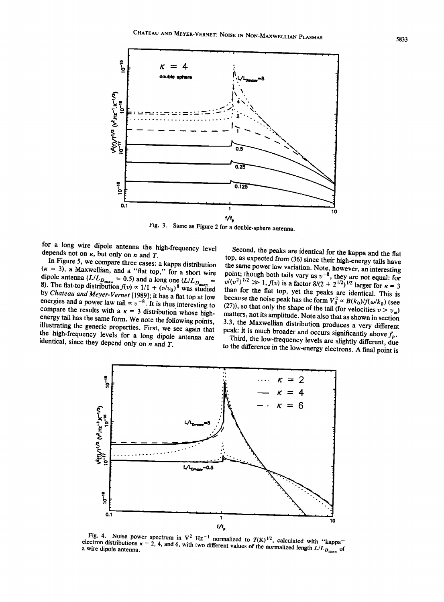

**Fig. 3. Same as Figure 2 for a double-sphere antenna.** 

for a long wire dipole antenna the high-frequency level depends not on  $\kappa$ , but only on  $n$  and  $T$ .

**In Figure 5, we compare three cases' a kappa distribution**   $(k = 3)$ , a Maxwellian, and a "flat top," for a short wire dipole antenna  $(L/L_{D_{\text{max}}} = 0.5)$  and a long one  $(L/L_{D_{\text{max}}} = 8)$ . The flat-top distribution  $f(v) \propto 1/1 + (v/v_0)^8$  was studied **by Chateau and Meyer-Vernet [1989]; it has aflat top at low energies and a power law tail**  $\propto v^{-8}$ . It is thus interesting to compare the results with a  $\kappa = 3$  distribution whose highenergy tail has the same form. We note the following points,  $\frac{1}{3.3}$ , the Maxwellian distribution produces a very different illustrating the generic properties. First, we see again that peak: it is much broader and oc illustrating the generic properties. First, we see again that **the high-frequency levels for a long dipole antenna are identical, since they depend only on n and T.** 

**Second, the peaks are identical for the kappa and the flat**  top, as expected from (36) since their high-energy tails have **the same power law variation. Note, however, an interesting**  point; though both tails vary as  $v^{-8}$ , they are not equal: for  $v/(v^2)^{1/2} \gg 1$ ,  $f(v)$  is a factor  $8/(2 + 2^{1/2})^{1/2}$  larger for  $\kappa = 3$ **than for the flat top, yet the peaks are identical. This is**  because the noise peak has the form  $V_0^2 \propto B(k_0)/f(\omega/k_0)$  (see (27)), so that only the shape of the tail (for velocities  $v > v_{\omega}$ ) matters, not its amplitude. Note also that as shown in section **3.3, the Maxwellian distribution produces a very different** 

Third, the low-frequency levels are slightly different, due **to the difference in the low-energy electrons. A final point is**



**Fig. 4.** Noise power spectrum in  $V^2$  Hz<sup>-1</sup> normalized to  $T(K)^{1/2}$ , calculated with "kappa" ctron distributions  $\kappa = 2, 4$ , and 6, with two different values of the normalized logath  $I/K$ **a a** wire dipole antenna.  $\mathbf{K} = 2$ , 4, and 6, with two different values of the normalized length  $L/L_{D_{\text{max}}}$  of a vire dipole antenna.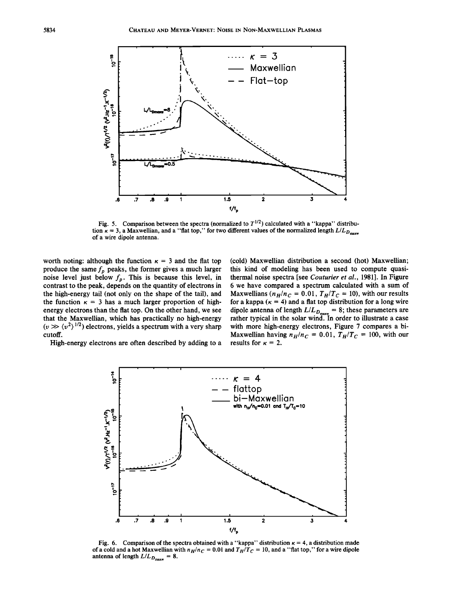

Fig. 5. Comparison between the spectra (normalized to  $T^{1/2}$ ) calculated with a "kappa" distribution  $\kappa = 3$ , a Maxwellian, and a "flat top," for two different values of the normalized length  $L/L_{D_{\text{max}}}$ **of a wire dipole antenna.** 

worth noting: although the function  $\kappa = 3$  and the flat top produce the same  $f_p$  peaks, the former gives a much larger noise level just below  $f_p$ . This is because this level, in **contrast to the peak, depends on the quantity of electrons in the high-energy tail (not only on the shape of the tail), and**  the function  $\kappa = 3$  has a much larger proportion of high**energy electrons than the flat top. On the other hand, we see that the Maxwellian, which has practically no high-energy**   $(v \gg \langle v^2 \rangle^{1/2})$  electrons, yields a spectrum with a very sharp **cutoff.** 

**(cold) Maxwellian distribution a second (hot) Maxwellian; this kind of modeling has been used to compute quasithermal noise spectra [see Couturier et al., 1981]. In Figure 6 we have compared a spectrum calculated with a sum of**  Maxwellians ( $n_H/n_C = 0.01$ ,  $T_H/T_C = 10$ ), with our results for a kappa  $(\kappa = 4)$  and a flat top distribution for a long wire dipole antenna of length  $L/L_{D_{\text{max}}} = 8$ ; these parameters are **rather typical in the solar wind. In order to illustrate a case with more high-energy electrons, Figure 7 compares a bi-**Maxwellian having  $n_H/n_C = 0.01$ ,  $T_H/T_C = 100$ , with our results for  $\kappa = 2$ .

**High-energy electrons are often described by adding to a** 



Fig. 6. Comparison of the spectra obtained with a "kappa" distribution  $\kappa = 4$ , a distribution made of a cold and a hot Maxwellian with  $n_H/n_C = 0.01$  and  $T_H/T_C = 10$ , and a "flat top," for a wire dipole antenna of length  $L/L_{D_{\text{max}}} = 8$ .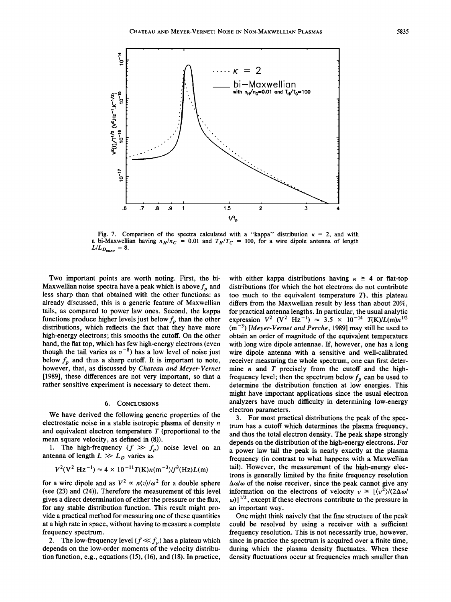

Fig. 7. Comparison of the spectra calculated with a "kappa" distribution  $\kappa = 2$ , and with **a** bi-Maxwellian having  $n_H/n_C = 0.01$  and  $T_H/T_C = 100$ , for a wire dipole antenna of length  $L/L_{D_{\text{max}}} = 8.$ 

**Two important points are worth noting. First, the bi-Maxwellian noise spectra have a peak which is above**  $f_n$  **and less sharp than that obtained with the other functions: as already discussed, this is a generic feature of Maxwellian tails, as compared to power law ones. Second, the kappa**  functions produce higher levels just below  $f_p$  than the other **distributions, which reflects the fact that they have more high-energy electrons; this smooths the cutoff. On the other hand, the flat top, which has few high-energy electrons (even**  though the tail varies as  $v^{-8}$ ) has a low level of noise just below  $f_p$  and thus a sharp cutoff. It is important to note, **however, that, as discussed by Chateau and Meyer-Vernet [1989], these differences are not very important, so that a rather sensitive experiment is necessary to detect them.** 

#### **6. CONCLUSIONS**

**We have derived the following generic properties of the electrostatic noise in a stable isotropic plasma of density n and equivalent electron temperature T (proportional to the mean square velocity, as defined in (8)).** 

1. The high-frequency  $(f \gg f_p)$  noise level on an antenna of length  $L \gg L_D$  varies as

$$
V^2(V^2 Hz^{-1}) \approx 4 \times 10^{-11} T(K) n(m^{-3})/f^3(Hz)L(m)
$$

for a wire dipole and as  $V^2 \propto n \langle v \rangle / \omega^2$  for a double sphere **(see (23) and (24)). Therefore the measurement of this level gives a direct determination of either the pressure or the flux, for any stable distribution function. This result might provide a practical method for measuring one of these quantities at a high rate in space, without having to measure a complete frequency spectrum.** 

2. The low-frequency level  $(f \ll f_p)$  has a plateau which **depends on the low-order moments of the velocity distribution function, e.g., equations (15), (16), and (18). In practice,** 

with either kappa distributions having  $\kappa \geq 4$  or flat-top **distributions (for which the hot electrons do not contribute too much to the equivalent temperature T), this plateau differs from the Maxwellian result by less than about 20%, for practical antenna lengths. In particular, the usual analytic**  expression  $V^2$  ( $V^2$  Hz<sup>-1</sup>)  $\approx$  3.5  $\times$  10<sup>-14</sup>  $T(K)/L(m)n^{1/2}$ **(m -3) [Meyer-Vernet and Perche, 1989] may still be used to obtain an order of magnitude of the equivalent temperature with long wire dipole antennae. If, however, one has a long wire dipole antenna with a sensitive and well-calibrated receiver measuring the whole spectrum, one can first determine n and T precisely from the cutoff and the high**frequency level; then the spectrum below  $f<sub>p</sub>$  can be used to **determine the distribution function at low energies. This might have important applications since the usual electron analyzers have much difficulty in determining low-energy electron parameters.** 

**3. For most practical distributions the peak of the spectrum has a cutoff which determines the plasma frequency, and thus the total electron density. The peak shape strongly depends on the distribution of the high-energy electrons. For a power law tail the peak is nearly exactly at the plasma frequency (in contrast to what happens with a Maxwellian tail). However, the measurement of the high-energy electrons is generally limited by the finite frequency resolution**   $\Delta\omega/\omega$  of the noise receiver, since the peak cannot give any **information on the electrons of velocity**  $v \geq \frac{1}{v^2}{2\Delta \omega}$  $\omega$ )]<sup>1/2</sup>, except if these electrons contribute to the pressure in **an important way.** 

**One might think naively that the fine structure of the peak could be resolved by using a receiver with a sufficient frequency resolution. This is not necessarily true, however, since in practice the spectrum is acquired over a finite time, during which the plasma density fluctuates. When these density fluctuations occur at frequencies much smaller than**